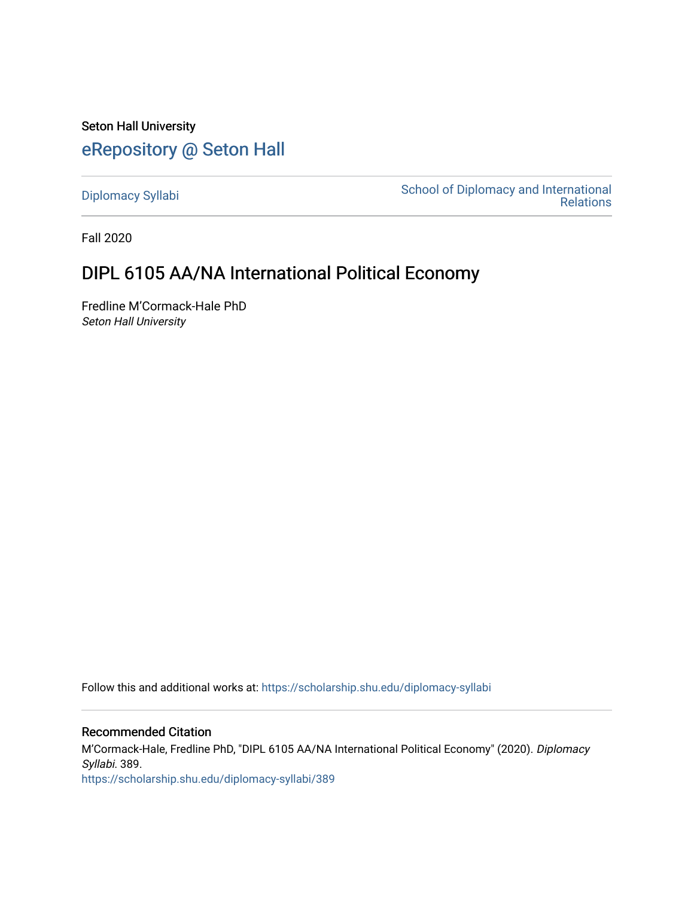Seton Hall University [eRepository @ Seton Hall](https://scholarship.shu.edu/)

[Diplomacy Syllabi](https://scholarship.shu.edu/diplomacy-syllabi) [School of Diplomacy and International](https://scholarship.shu.edu/diplomacy)  [Relations](https://scholarship.shu.edu/diplomacy) 

Fall 2020

# DIPL 6105 AA/NA International Political Economy

Fredline M'Cormack-Hale PhD Seton Hall University

Follow this and additional works at: [https://scholarship.shu.edu/diplomacy-syllabi](https://scholarship.shu.edu/diplomacy-syllabi?utm_source=scholarship.shu.edu%2Fdiplomacy-syllabi%2F389&utm_medium=PDF&utm_campaign=PDFCoverPages) 

# Recommended Citation

M'Cormack-Hale, Fredline PhD, "DIPL 6105 AA/NA International Political Economy" (2020). Diplomacy Syllabi. 389. [https://scholarship.shu.edu/diplomacy-syllabi/389](https://scholarship.shu.edu/diplomacy-syllabi/389?utm_source=scholarship.shu.edu%2Fdiplomacy-syllabi%2F389&utm_medium=PDF&utm_campaign=PDFCoverPages)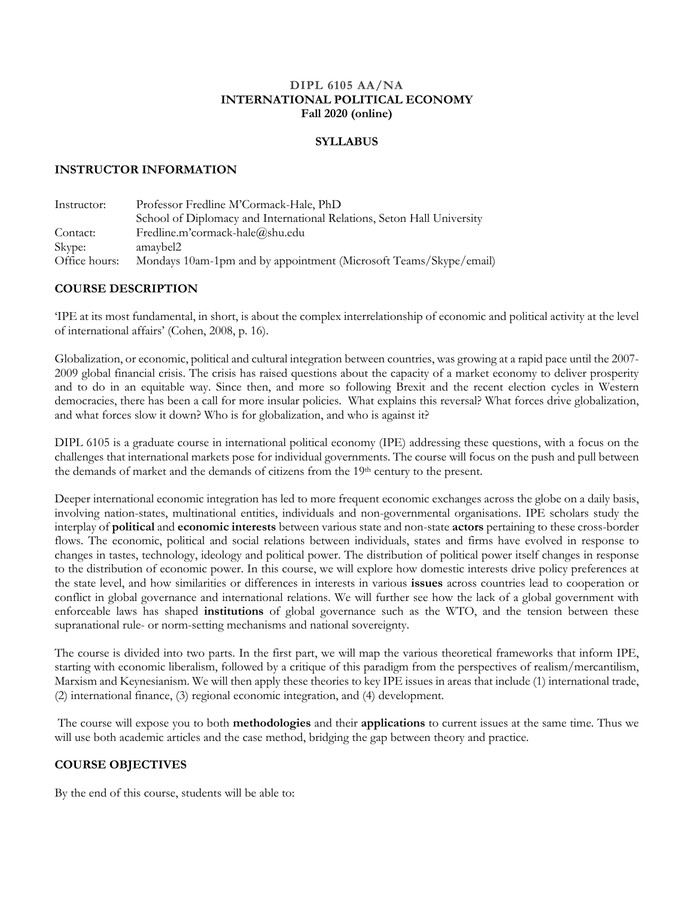#### **DIPL 6105 AA/NA INTERNATIONAL POLITICAL ECONOMY Fall 2020 (online)**

#### **SYLLABUS**

#### **INSTRUCTOR INFORMATION**

| Instructor:   | Professor Fredline M'Cormack-Hale, PhD                                 |  |  |
|---------------|------------------------------------------------------------------------|--|--|
|               | School of Diplomacy and International Relations, Seton Hall University |  |  |
| Contact:      | Fredline.m'cormack-hale@shu.edu                                        |  |  |
| Skype:        | amaybel2                                                               |  |  |
| Office hours: | Mondays 10am-1pm and by appointment (Microsoft Teams/Skype/email)      |  |  |

### **COURSE DESCRIPTION**

'IPE at its most fundamental, in short, is about the complex interrelationship of economic and political activity at the level of international affairs' (Cohen, 2008, p. 16).

Globalization, or economic, political and cultural integration between countries, was growing at a rapid pace until the 2007- 2009 global financial crisis. The crisis has raised questions about the capacity of a market economy to deliver prosperity and to do in an equitable way. Since then, and more so following Brexit and the recent election cycles in Western democracies, there has been a call for more insular policies. What explains this reversal? What forces drive globalization, and what forces slow it down? Who is for globalization, and who is against it?

DIPL 6105 is a graduate course in international political economy (IPE) addressing these questions, with a focus on the challenges that international markets pose for individual governments. The course will focus on the push and pull between the demands of market and the demands of citizens from the 19<sup>th</sup> century to the present.

Deeper international economic integration has led to more frequent economic exchanges across the globe on a daily basis, involving nation-states, multinational entities, individuals and non-governmental organisations. IPE scholars study the interplay of **political** and **economic interests** between various state and non-state **actors** pertaining to these cross-border flows. The economic, political and social relations between individuals, states and firms have evolved in response to changes in tastes, technology, ideology and political power. The distribution of political power itself changes in response to the distribution of economic power. In this course, we will explore how domestic interests drive policy preferences at the state level, and how similarities or differences in interests in various **issues** across countries lead to cooperation or conflict in global governance and international relations. We will further see how the lack of a global government with enforceable laws has shaped **institutions** of global governance such as the WTO, and the tension between these supranational rule- or norm-setting mechanisms and national sovereignty.

The course is divided into two parts. In the first part, we will map the various theoretical frameworks that inform IPE, starting with economic liberalism, followed by a critique of this paradigm from the perspectives of realism/mercantilism, Marxism and Keynesianism. We will then apply these theories to key IPE issues in areas that include (1) international trade, (2) international finance, (3) regional economic integration, and (4) development.

The course will expose you to both **methodologies** and their **applications** to current issues at the same time. Thus we will use both academic articles and the case method, bridging the gap between theory and practice.

### **COURSE OBJECTIVES**

By the end of this course, students will be able to: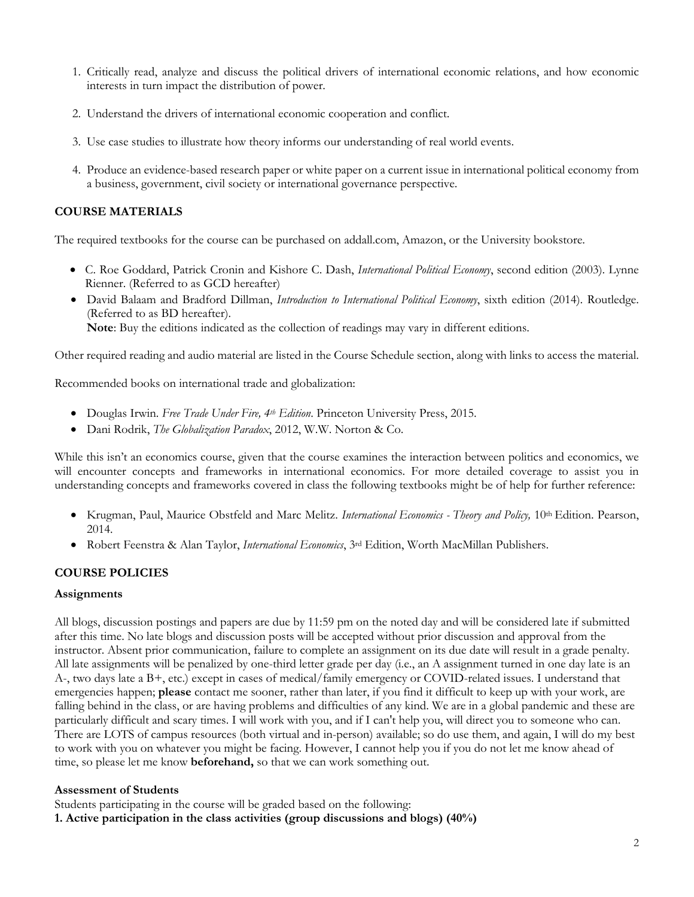- 1. Critically read, analyze and discuss the political drivers of international economic relations, and how economic interests in turn impact the distribution of power.
- 2. Understand the drivers of international economic cooperation and conflict.
- 3. Use case studies to illustrate how theory informs our understanding of real world events.
- 4. Produce an evidence-based research paper or white paper on a current issue in international political economy from a business, government, civil society or international governance perspective.

### **COURSE MATERIALS**

The required textbooks for the course can be purchased on addall.com, Amazon, or the University bookstore.

- C. Roe Goddard, Patrick Cronin and Kishore C. Dash, *International Political Economy*, second edition (2003). Lynne Rienner. (Referred to as GCD hereafter)
- David Balaam and Bradford Dillman, *Introduction to International Political Economy*, sixth edition (2014). Routledge. (Referred to as BD hereafter). **Note**: Buy the editions indicated as the collection of readings may vary in different editions.

Other required reading and audio material are listed in the Course Schedule section, along with links to access the material.

Recommended books on international trade and globalization:

- Douglas Irwin. *Free Trade Under Fire, 4th Edition*. Princeton University Press, 2015.
- Dani Rodrik, *The Globalization Paradox*, 2012, W.W. Norton & Co.

While this isn't an economics course, given that the course examines the interaction between politics and economics, we will encounter concepts and frameworks in international economics. For more detailed coverage to assist you in understanding concepts and frameworks covered in class the following textbooks might be of help for further reference:

- Krugman, Paul, Maurice Obstfeld and Marc Melitz. *International Economics - Theory and Policy,* 10th Edition. Pearson, 2014.
- Robert Feenstra & Alan Taylor, *International Economics*, 3rd Edition, Worth MacMillan Publishers.

### **COURSE POLICIES**

### **Assignments**

All blogs, discussion postings and papers are due by 11:59 pm on the noted day and will be considered late if submitted after this time. No late blogs and discussion posts will be accepted without prior discussion and approval from the instructor. Absent prior communication, failure to complete an assignment on its due date will result in a grade penalty. All late assignments will be penalized by one-third letter grade per day (i.e., an A assignment turned in one day late is an A-, two days late a B+, etc.) except in cases of medical/family emergency or COVID-related issues. I understand that emergencies happen; **please** contact me sooner, rather than later, if you find it difficult to keep up with your work, are falling behind in the class, or are having problems and difficulties of any kind. We are in a global pandemic and these are particularly difficult and scary times. I will work with you, and if I can't help you, will direct you to someone who can. There are LOTS of campus resources (both virtual and in-person) available; so do use them, and again, I will do my best to work with you on whatever you might be facing. However, I cannot help you if you do not let me know ahead of time, so please let me know **beforehand,** so that we can work something out.

#### **Assessment of Students**

Students participating in the course will be graded based on the following:

**1. Active participation in the class activities (group discussions and blogs) (40%)**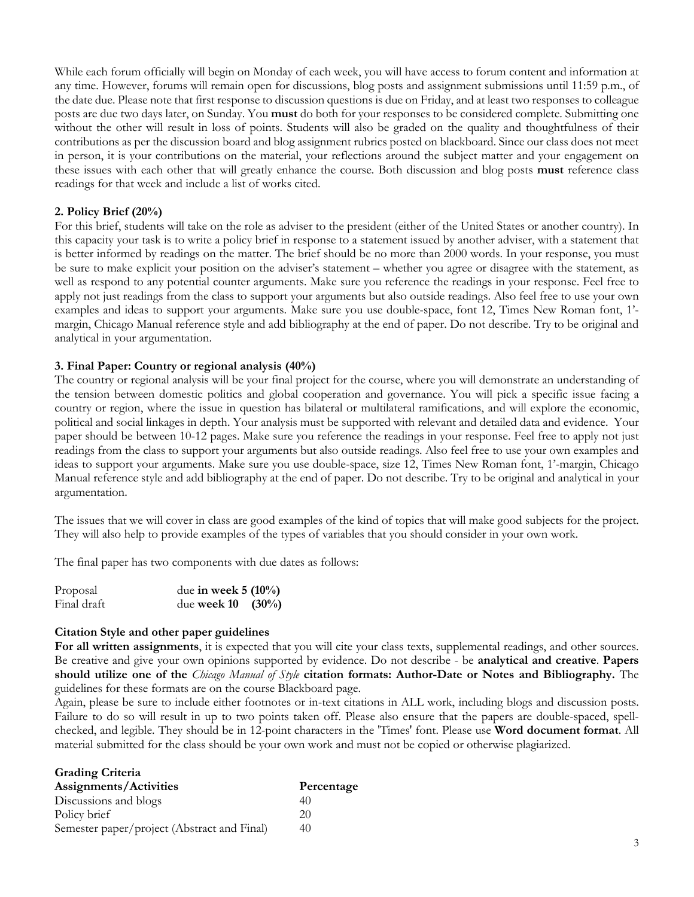While each forum officially will begin on Monday of each week, you will have access to forum content and information at any time. However, forums will remain open for discussions, blog posts and assignment submissions until 11:59 p.m., of the date due. Please note that first response to discussion questions is due on Friday, and at least two responses to colleague posts are due two days later, on Sunday. You **must** do both for your responses to be considered complete. Submitting one without the other will result in loss of points. Students will also be graded on the quality and thoughtfulness of their contributions as per the discussion board and blog assignment rubrics posted on blackboard. Since our class does not meet in person, it is your contributions on the material, your reflections around the subject matter and your engagement on these issues with each other that will greatly enhance the course. Both discussion and blog posts **must** reference class readings for that week and include a list of works cited.

### **2. Policy Brief (20%)**

For this brief, students will take on the role as adviser to the president (either of the United States or another country). In this capacity your task is to write a policy brief in response to a statement issued by another adviser, with a statement that is better informed by readings on the matter. The brief should be no more than 2000 words. In your response, you must be sure to make explicit your position on the adviser's statement – whether you agree or disagree with the statement, as well as respond to any potential counter arguments. Make sure you reference the readings in your response. Feel free to apply not just readings from the class to support your arguments but also outside readings. Also feel free to use your own examples and ideas to support your arguments. Make sure you use double-space, font 12, Times New Roman font, 1' margin, Chicago Manual reference style and add bibliography at the end of paper. Do not describe. Try to be original and analytical in your argumentation.

### **3. Final Paper: Country or regional analysis (40%)**

The country or regional analysis will be your final project for the course, where you will demonstrate an understanding of the tension between domestic politics and global cooperation and governance. You will pick a specific issue facing a country or region, where the issue in question has bilateral or multilateral ramifications, and will explore the economic, political and social linkages in depth. Your analysis must be supported with relevant and detailed data and evidence. Your paper should be between 10-12 pages. Make sure you reference the readings in your response. Feel free to apply not just readings from the class to support your arguments but also outside readings. Also feel free to use your own examples and ideas to support your arguments. Make sure you use double-space, size 12, Times New Roman font, 1'-margin, Chicago Manual reference style and add bibliography at the end of paper. Do not describe. Try to be original and analytical in your argumentation.

The issues that we will cover in class are good examples of the kind of topics that will make good subjects for the project. They will also help to provide examples of the types of variables that you should consider in your own work.

The final paper has two components with due dates as follows:

| Proposal    | due in week $5(10\%)$ |
|-------------|-----------------------|
| Final draft | due week $10$ (30%)   |

### **Citation Style and other paper guidelines**

**For all written assignments**, it is expected that you will cite your class texts, supplemental readings, and other sources. Be creative and give your own opinions supported by evidence. Do not describe - be **analytical and creative**. **Papers should utilize one of the** *Chicago Manual of Style* **citation formats: Author-Date or Notes and Bibliography.** The guidelines for these formats are on the course Blackboard page.

Again, please be sure to include either footnotes or in-text citations in ALL work, including blogs and discussion posts. Failure to do so will result in up to two points taken off. Please also ensure that the papers are double-spaced, spellchecked, and legible. They should be in 12-point characters in the 'Times' font. Please use **Word document format**. All material submitted for the class should be your own work and must not be copied or otherwise plagiarized.

| <b>Grading Criteria</b>                     |            |
|---------------------------------------------|------------|
| Assignments/Activities                      | Percentage |
| Discussions and blogs                       | 40         |
| Policy brief                                | 20         |
| Semester paper/project (Abstract and Final) | 40         |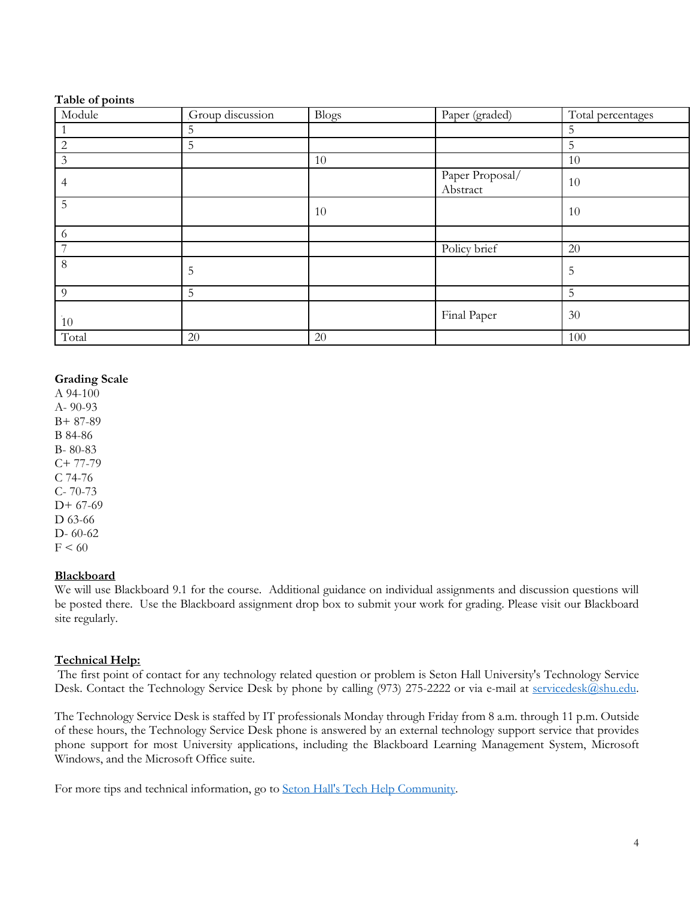#### **Table of points**

| Module         | Group discussion | <b>Blogs</b> | Paper (graded)              | Total percentages |
|----------------|------------------|--------------|-----------------------------|-------------------|
|                | 5                |              |                             | 5                 |
| $\mathbf{2}$   | 5                |              |                             | 5                 |
| $\mathfrak{Z}$ |                  | 10           |                             | 10                |
| 4              |                  |              | Paper Proposal/<br>Abstract | 10                |
| 5              |                  | 10           |                             | 10                |
| 6              |                  |              |                             |                   |
| 7              |                  |              | Policy brief                | $20\,$            |
| $8\,$          | 5                |              |                             | 5                 |
| 9              | 5                |              |                             | 5                 |
| $10\,$         |                  |              | Final Paper                 | 30                |
| Total          | 20               | 20           |                             | 100               |

### **Grading Scale**

A 94-100 A- 90-93 B+ 87-89 B 84-86 B- 80-83  $C+ 77-79$ C 74-76 C- 70-73 D+ 67-69 D 63-66 D- 60-62  $F < 60$ 

### **Blackboard**

We will use Blackboard 9.1 for the course. Additional guidance on individual assignments and discussion questions will be posted there. Use the Blackboard assignment drop box to submit your work for grading. Please visit our Blackboard site regularly.

### **Technical Help:**

The first point of contact for any technology related question or problem is Seton Hall University's Technology Service Desk. Contact the Technology Service Desk by phone by calling (973) 275-2222 or via e-mail at servicedesk@shu.edu.

The Technology Service Desk is staffed by IT professionals Monday through Friday from 8 a.m. through 11 p.m. Outside of these hours, the Technology Service Desk phone is answered by an external technology support service that provides phone support for most University applications, including the Blackboard Learning Management System, Microsoft Windows, and the Microsoft Office suite.

For more tips and technical information, go to Seton Hall's Tech Help Community.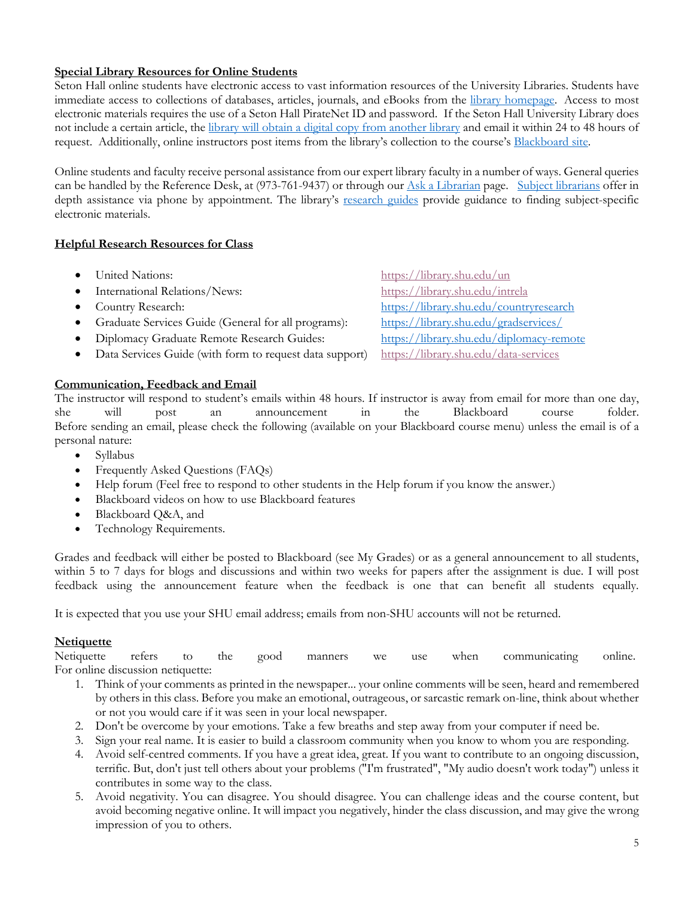# **Special Library Resources for Online Students**

Seton Hall online students have electronic access to vast information resources of the University Libraries. Students have immediate access to collections of databases, articles, journals, and eBooks from the library homepage. Access to most electronic materials requires the use of a Seton Hall PirateNet ID and password. If the Seton Hall University Library does not include a certain article, the library will obtain a digital copy from another library and email it within 24 to 48 hours of request. Additionally, online instructors post items from the library's collection to the course's Blackboard site.

Online students and faculty receive personal assistance from our expert library faculty in a number of ways. General queries can be handled by the Reference Desk, at (973-761-9437) or through our Ask a Librarian page. Subject librarians offer in depth assistance via phone by appointment. The library's research guides provide guidance to finding subject-specific electronic materials.

### **Helpful Research Resources for Class**

- 
- International Relations/News: https://library.shu.edu/intrela
- 
- Graduate Services Guide (General for all programs): https://library.shu.edu/gradservices/
- Diplomacy Graduate Remote Research Guides: https://library.shu.edu/diplomacy-remote
- Data Services Guide (with form to request data support) https://library.shu.edu/data-services

#### **Communication, Feedback and Email**

• United Nations: https://library.shu.edu/un • Country Research: https://library.shu.edu/countryresearch

The instructor will respond to student's emails within 48 hours. If instructor is away from email for more than one day, she will post an announcement in the Blackboard course folder. Before sending an email, please check the following (available on your Blackboard course menu) unless the email is of a personal nature:

- Syllabus
- Frequently Asked Questions (FAQs)
- Help forum (Feel free to respond to other students in the Help forum if you know the answer.)
- Blackboard videos on how to use Blackboard features
- Blackboard Q&A, and
- Technology Requirements.

Grades and feedback will either be posted to Blackboard (see My Grades) or as a general announcement to all students, within 5 to 7 days for blogs and discussions and within two weeks for papers after the assignment is due. I will post feedback using the announcement feature when the feedback is one that can benefit all students equally.

It is expected that you use your SHU email address; emails from non-SHU accounts will not be returned.

#### **Netiquette**

Netiquette refers to the good manners we use when communicating online. For online discussion netiquette:

- 1. Think of your comments as printed in the newspaper... your online comments will be seen, heard and remembered by others in this class. Before you make an emotional, outrageous, or sarcastic remark on-line, think about whether or not you would care if it was seen in your local newspaper.
- 2. Don't be overcome by your emotions. Take a few breaths and step away from your computer if need be.
- 3. Sign your real name. It is easier to build a classroom community when you know to whom you are responding.
- 4. Avoid self-centred comments. If you have a great idea, great. If you want to contribute to an ongoing discussion, terrific. But, don't just tell others about your problems ("I'm frustrated", "My audio doesn't work today") unless it contributes in some way to the class.
- 5. Avoid negativity. You can disagree. You should disagree. You can challenge ideas and the course content, but avoid becoming negative online. It will impact you negatively, hinder the class discussion, and may give the wrong impression of you to others.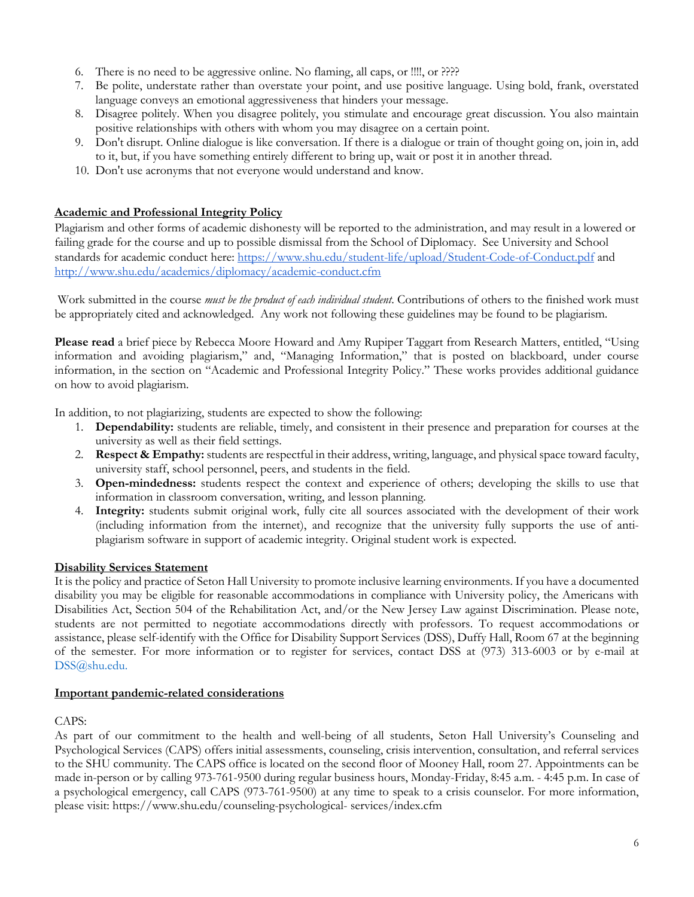- 6. There is no need to be aggressive online. No flaming, all caps, or !!!!, or ????
- 7. Be polite, understate rather than overstate your point, and use positive language. Using bold, frank, overstated language conveys an emotional aggressiveness that hinders your message.
- 8. Disagree politely. When you disagree politely, you stimulate and encourage great discussion. You also maintain positive relationships with others with whom you may disagree on a certain point.
- 9. Don't disrupt. Online dialogue is like conversation. If there is a dialogue or train of thought going on, join in, add to it, but, if you have something entirely different to bring up, wait or post it in another thread.
- 10. Don't use acronyms that not everyone would understand and know.

### **Academic and Professional Integrity Policy**

Plagiarism and other forms of academic dishonesty will be reported to the administration, and may result in a lowered or failing grade for the course and up to possible dismissal from the School of Diplomacy. See University and School standards for academic conduct here: https://www.shu.edu/student-life/upload/Student-Code-of-Conduct.pdf and http://www.shu.edu/academics/diplomacy/academic-conduct.cfm

Work submitted in the course *must be the product of each individual student*. Contributions of others to the finished work must be appropriately cited and acknowledged. Any work not following these guidelines may be found to be plagiarism.

**Please read** a brief piece by Rebecca Moore Howard and Amy Rupiper Taggart from Research Matters, entitled, "Using information and avoiding plagiarism," and, "Managing Information," that is posted on blackboard, under course information, in the section on "Academic and Professional Integrity Policy." These works provides additional guidance on how to avoid plagiarism.

In addition, to not plagiarizing, students are expected to show the following:

- 1. **Dependability:** students are reliable, timely, and consistent in their presence and preparation for courses at the university as well as their field settings.
- 2. **Respect & Empathy:** students are respectful in their address, writing, language, and physical space toward faculty, university staff, school personnel, peers, and students in the field.
- 3. **Open-mindedness:** students respect the context and experience of others; developing the skills to use that information in classroom conversation, writing, and lesson planning.
- 4. **Integrity:** students submit original work, fully cite all sources associated with the development of their work (including information from the internet), and recognize that the university fully supports the use of antiplagiarism software in support of academic integrity. Original student work is expected.

### **Disability Services Statement**

It is the policy and practice of Seton Hall University to promote inclusive learning environments. If you have a documented disability you may be eligible for reasonable accommodations in compliance with University policy, the Americans with Disabilities Act, Section 504 of the Rehabilitation Act, and/or the New Jersey Law against Discrimination. Please note, students are not permitted to negotiate accommodations directly with professors. To request accommodations or assistance, please self-identify with the Office for Disability Support Services (DSS), Duffy Hall, Room 67 at the beginning of the semester. For more information or to register for services, contact DSS at (973) 313-6003 or by e-mail at DSS@shu.edu.

### **Important pandemic-related considerations**

### CAPS:

As part of our commitment to the health and well-being of all students, Seton Hall University's Counseling and Psychological Services (CAPS) offers initial assessments, counseling, crisis intervention, consultation, and referral services to the SHU community. The CAPS office is located on the second floor of Mooney Hall, room 27. Appointments can be made in-person or by calling 973-761-9500 during regular business hours, Monday-Friday, 8:45 a.m. - 4:45 p.m. In case of a psychological emergency, call CAPS (973-761-9500) at any time to speak to a crisis counselor. For more information, please visit: https://www.shu.edu/counseling-psychological- services/index.cfm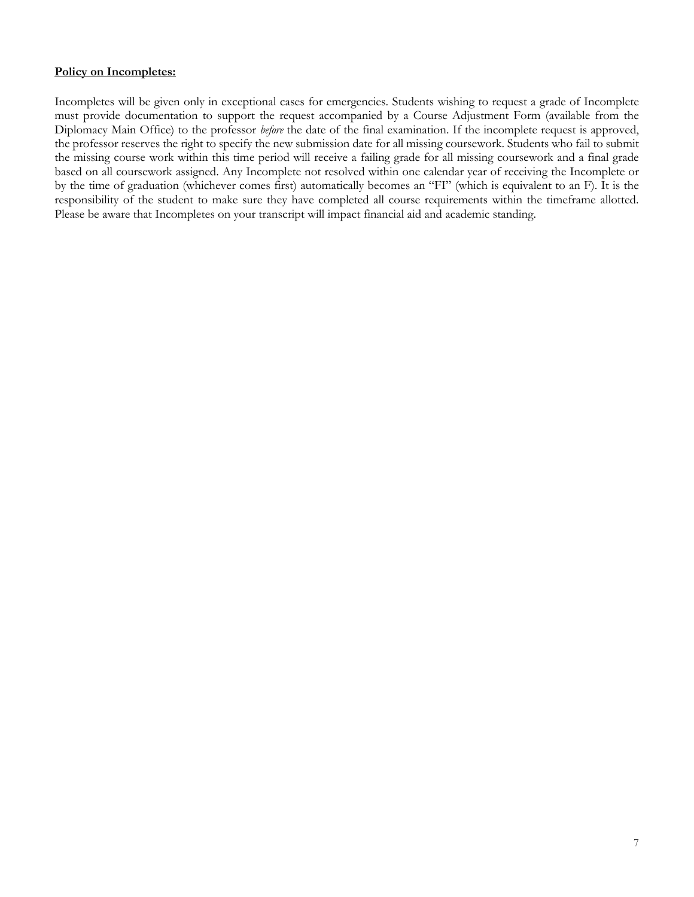### **Policy on Incompletes:**

Incompletes will be given only in exceptional cases for emergencies. Students wishing to request a grade of Incomplete must provide documentation to support the request accompanied by a Course Adjustment Form (available from the Diplomacy Main Office) to the professor *before* the date of the final examination. If the incomplete request is approved, the professor reserves the right to specify the new submission date for all missing coursework. Students who fail to submit the missing course work within this time period will receive a failing grade for all missing coursework and a final grade based on all coursework assigned. Any Incomplete not resolved within one calendar year of receiving the Incomplete or by the time of graduation (whichever comes first) automatically becomes an "FI" (which is equivalent to an F). It is the responsibility of the student to make sure they have completed all course requirements within the timeframe allotted. Please be aware that Incompletes on your transcript will impact financial aid and academic standing.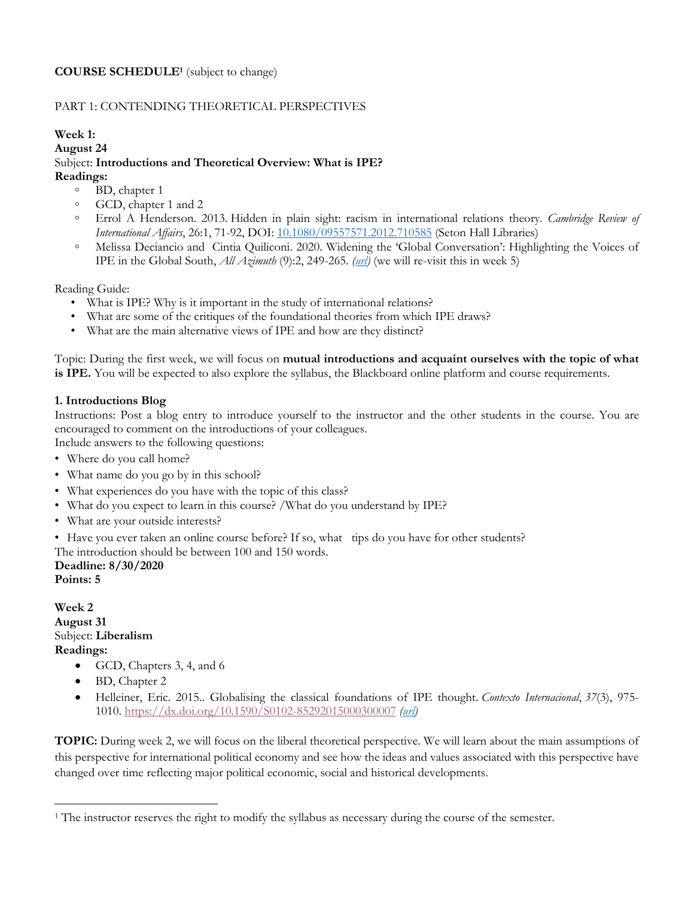# **COURSE SCHEDULE1** (subject to change)

# PART 1: CONTENDING THEORETICAL PERSPECTIVES

#### **Week 1:**

**August 24**

# Subject: **Introductions and Theoretical Overview: What is IPE?**

**Readings:** 

- BD, chapter 1
- GCD, chapter 1 and 2
- Errol A Henderson. 2013. Hidden in plain sight: racism in international relations theory. *Cambridge Review of International Affairs*, 26:1, 71-92, DOI: 10.1080/09557571.2012.710585 (Seton Hall Libraries)
- Melissa Deciancio and Cintia Quiliconi. 2020. Widening the 'Global Conversation': Highlighting the Voices of IPE in the Global South, *All Azimuth* (9):2, 249-265. *(url)* (we will re-visit this in week 5)

Reading Guide:

- What is IPE? Why is it important in the study of international relations?
- What are some of the critiques of the foundational theories from which IPE draws?
- What are the main alternative views of IPE and how are they distinct?

Topic: During the first week, we will focus on **mutual introductions and acquaint ourselves with the topic of what is IPE.** You will be expected to also explore the syllabus, the Blackboard online platform and course requirements.

# **1. Introductions Blog**

Instructions: Post a blog entry to introduce yourself to the instructor and the other students in the course. You are encouraged to comment on the introductions of your colleagues.

Include answers to the following questions:

- Where do you call home?
- What name do you go by in this school?
- What experiences do you have with the topic of this class?
- What do you expect to learn in this course? /What do you understand by IPE?
- What are your outside interests?
- Have you ever taken an online course before? If so, what tips do you have for other students?

The introduction should be between 100 and 150 words.

**Deadline: 8/30/2020 Points: 5**

**Week 2 August 31** Subject: **Liberalism Readings:** 

- GCD, Chapters 3, 4, and 6
- BD, Chapter 2
- Helleiner, Eric. 2015.. Globalising the classical foundations of IPE thought. *Contexto Internacional*, *37*(3), 975- 1010. https://dx.doi.org/10.1590/S0102-85292015000300007 *(url)*

**TOPIC:** During week 2, we will focus on the liberal theoretical perspective. We will learn about the main assumptions of this perspective for international political economy and see how the ideas and values associated with this perspective have changed over time reflecting major political economic, social and historical developments.

<sup>1</sup> The instructor reserves the right to modify the syllabus as necessary during the course of the semester.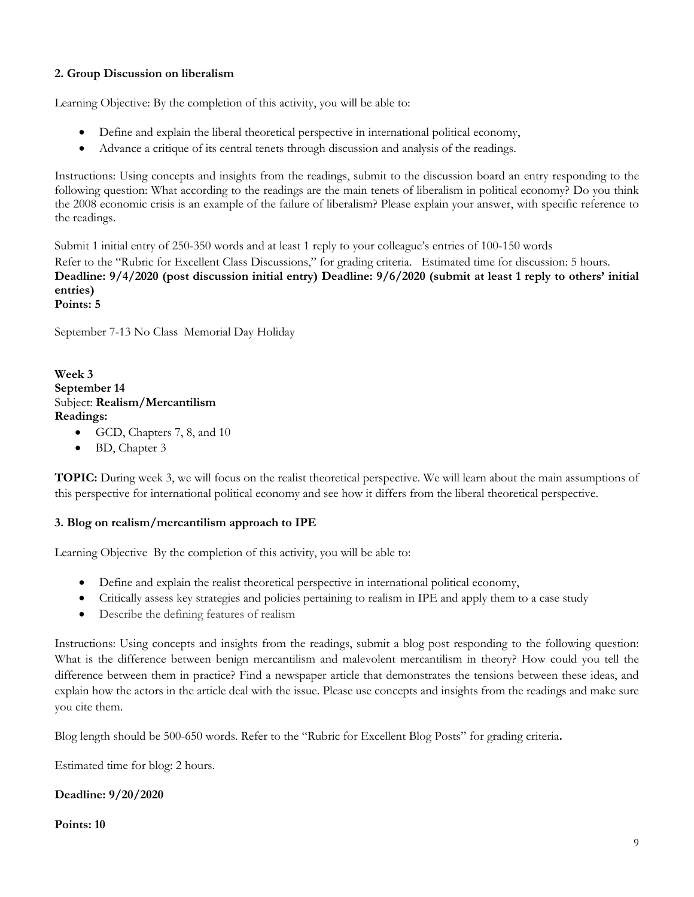# **2. Group Discussion on liberalism**

Learning Objective: By the completion of this activity, you will be able to:

- Define and explain the liberal theoretical perspective in international political economy,
- Advance a critique of its central tenets through discussion and analysis of the readings.

Instructions: Using concepts and insights from the readings, submit to the discussion board an entry responding to the following question: What according to the readings are the main tenets of liberalism in political economy? Do you think the 2008 economic crisis is an example of the failure of liberalism? Please explain your answer, with specific reference to the readings.

Submit 1 initial entry of 250-350 words and at least 1 reply to your colleague's entries of 100-150 words Refer to the "Rubric for Excellent Class Discussions," for grading criteria. Estimated time for discussion: 5 hours. **Deadline: 9/4/2020 (post discussion initial entry) Deadline: 9/6/2020 (submit at least 1 reply to others' initial entries) Points: 5** 

September 7-13 No Class Memorial Day Holiday

### **Week 3 September 14** Subject: **Realism/Mercantilism Readings:**

- GCD, Chapters 7, 8, and 10
- BD, Chapter 3

**TOPIC:** During week 3, we will focus on the realist theoretical perspective. We will learn about the main assumptions of this perspective for international political economy and see how it differs from the liberal theoretical perspective.

### **3. Blog on realism/mercantilism approach to IPE**

Learning Objective By the completion of this activity, you will be able to:

- Define and explain the realist theoretical perspective in international political economy,
- Critically assess key strategies and policies pertaining to realism in IPE and apply them to a case study
- Describe the defining features of realism

Instructions: Using concepts and insights from the readings, submit a blog post responding to the following question: What is the difference between benign mercantilism and malevolent mercantilism in theory? How could you tell the difference between them in practice? Find a newspaper article that demonstrates the tensions between these ideas, and explain how the actors in the article deal with the issue. Please use concepts and insights from the readings and make sure you cite them.

Blog length should be 500-650 words. Refer to the "Rubric for Excellent Blog Posts" for grading criteria**.** 

Estimated time for blog: 2 hours.

### **Deadline: 9/20/2020**

#### **Points: 10**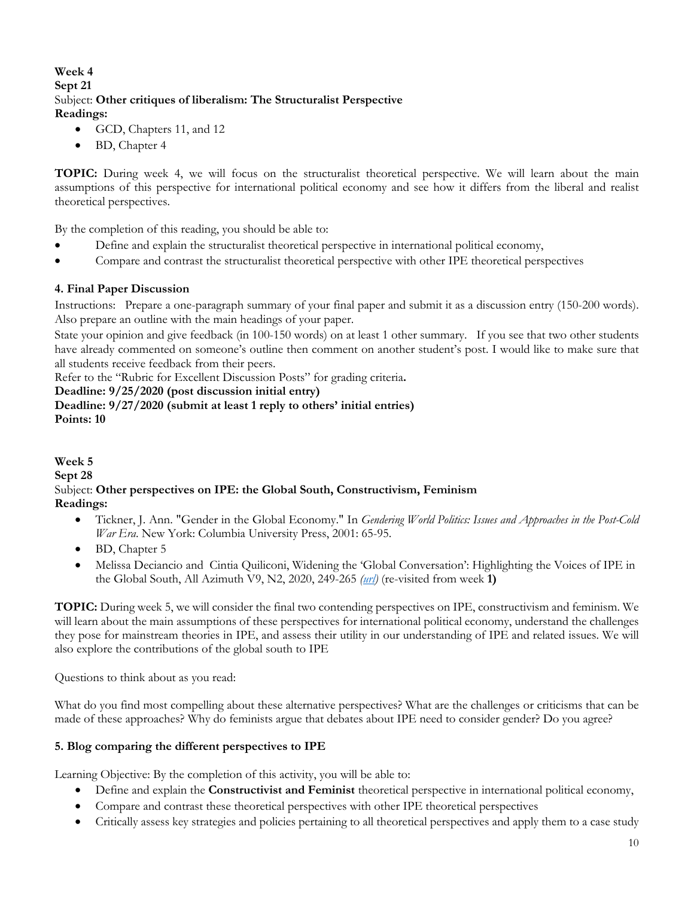# **Week 4 Sept 21** Subject: **Other critiques of liberalism: The Structuralist Perspective Readings:**

- GCD, Chapters 11, and 12
- BD, Chapter 4

**TOPIC:** During week 4, we will focus on the structuralist theoretical perspective. We will learn about the main assumptions of this perspective for international political economy and see how it differs from the liberal and realist theoretical perspectives.

By the completion of this reading, you should be able to:

- Define and explain the structuralist theoretical perspective in international political economy,
- Compare and contrast the structuralist theoretical perspective with other IPE theoretical perspectives

### **4. Final Paper Discussion**

Instructions: Prepare a one-paragraph summary of your final paper and submit it as a discussion entry (150-200 words). Also prepare an outline with the main headings of your paper.

State your opinion and give feedback (in 100-150 words) on at least 1 other summary. If you see that two other students have already commented on someone's outline then comment on another student's post. I would like to make sure that all students receive feedback from their peers.

Refer to the "Rubric for Excellent Discussion Posts" for grading criteria**.** 

#### **Deadline: 9/25/2020 (post discussion initial entry)**

**Deadline: 9/27/2020 (submit at least 1 reply to others' initial entries) Points: 10**

**Week 5 Sept 28** Subject: **Other perspectives on IPE: the Global South, Constructivism, Feminism Readings:** 

- Tickner, J. Ann. "Gender in the Global Economy." In *Gendering World Politics: Issues and Approaches in the Post-Cold War Era*. New York: Columbia University Press, 2001: 65-95.
- BD, Chapter 5
- Melissa Deciancio and Cintia Quiliconi, Widening the 'Global Conversation': Highlighting the Voices of IPE in the Global South, All Azimuth V9, N2, 2020, 249-265 *(url)* (re-visited from week **1)**

**TOPIC:** During week 5, we will consider the final two contending perspectives on IPE, constructivism and feminism. We will learn about the main assumptions of these perspectives for international political economy, understand the challenges they pose for mainstream theories in IPE, and assess their utility in our understanding of IPE and related issues. We will also explore the contributions of the global south to IPE

Questions to think about as you read:

What do you find most compelling about these alternative perspectives? What are the challenges or criticisms that can be made of these approaches? Why do feminists argue that debates about IPE need to consider gender? Do you agree?

### **5. Blog comparing the different perspectives to IPE**

Learning Objective: By the completion of this activity, you will be able to:

- Define and explain the **Constructivist and Feminist** theoretical perspective in international political economy,
- Compare and contrast these theoretical perspectives with other IPE theoretical perspectives
- Critically assess key strategies and policies pertaining to all theoretical perspectives and apply them to a case study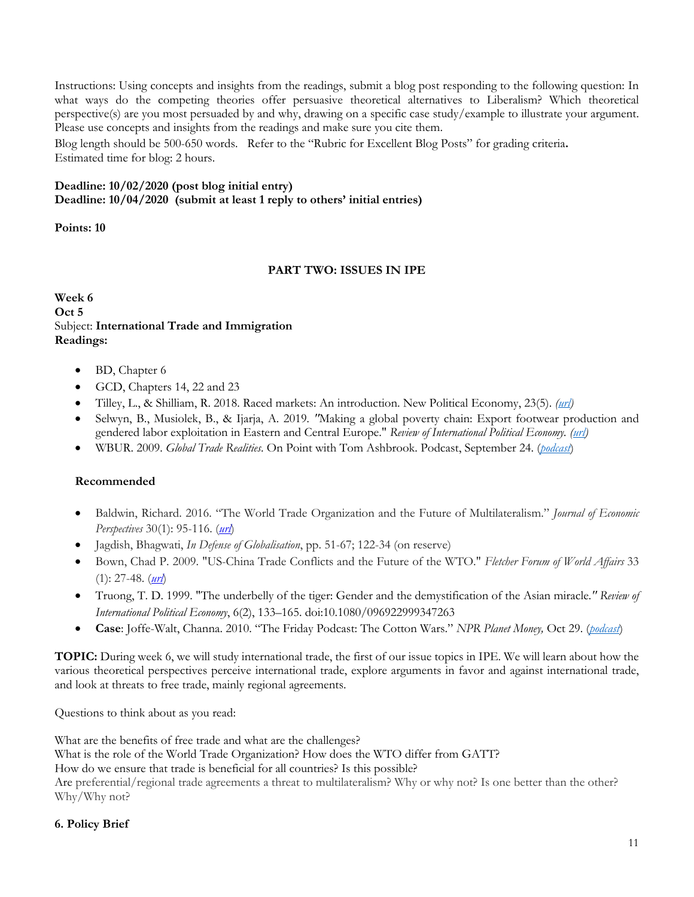Instructions: Using concepts and insights from the readings, submit a blog post responding to the following question: In what ways do the competing theories offer persuasive theoretical alternatives to Liberalism? Which theoretical perspective(s) are you most persuaded by and why, drawing on a specific case study/example to illustrate your argument. Please use concepts and insights from the readings and make sure you cite them.

Blog length should be 500-650 words. Refer to the "Rubric for Excellent Blog Posts" for grading criteria**.**  Estimated time for blog: 2 hours.

# **Deadline: 10/02/2020 (post blog initial entry) Deadline: 10/04/2020 (submit at least 1 reply to others' initial entries)**

**Points: 10** 

### **PART TWO: ISSUES IN IPE**

**Week 6 Oct 5** Subject: **International Trade and Immigration Readings:** 

- BD, Chapter 6
- GCD, Chapters 14, 22 and 23
- Tilley, L., & Shilliam, R. 2018. Raced markets: An introduction. New Political Economy, 23(5). *(url)*
- Selwyn, B., Musiolek, B., & Ijarja, A. 2019*. "*Making a global poverty chain: Export footwear production and gendered labor exploitation in Eastern and Central Europe." *Review of International Political Economy. (url)*
- WBUR. 2009. *Global Trade Realities*. On Point with Tom Ashbrook. Podcast, September 24. (*podcast*)

# **Recommended**

- Baldwin, Richard. 2016. "The World Trade Organization and the Future of Multilateralism." *Journal of Economic Perspectives* 30(1): 95-116. (*url*)
- Jagdish, Bhagwati, *In Defense of Globalisation*, pp. 51-67; 122-34 (on reserve)
- Bown, Chad P. 2009. "US-China Trade Conflicts and the Future of the WTO." *Fletcher Forum of World Affairs* 33 (1): 27-48. (*url*)
- Truong, T. D. 1999. "The underbelly of the tiger: Gender and the demystification of the Asian miracle*." Review of International Political Economy*, 6(2), 133–165. doi:10.1080/096922999347263
- **Case**: Joffe-Walt, Channa. 2010. "The Friday Podcast: The Cotton Wars." *NPR Planet Money,* Oct 29. (*podcast*)

**TOPIC:** During week 6, we will study international trade, the first of our issue topics in IPE. We will learn about how the various theoretical perspectives perceive international trade, explore arguments in favor and against international trade, and look at threats to free trade, mainly regional agreements.

Questions to think about as you read:

What are the benefits of free trade and what are the challenges? What is the role of the World Trade Organization? How does the WTO differ from GATT? How do we ensure that trade is beneficial for all countries? Is this possible? Are preferential/regional trade agreements a threat to multilateralism? Why or why not? Is one better than the other? Why/Why not?

### **6. Policy Brief**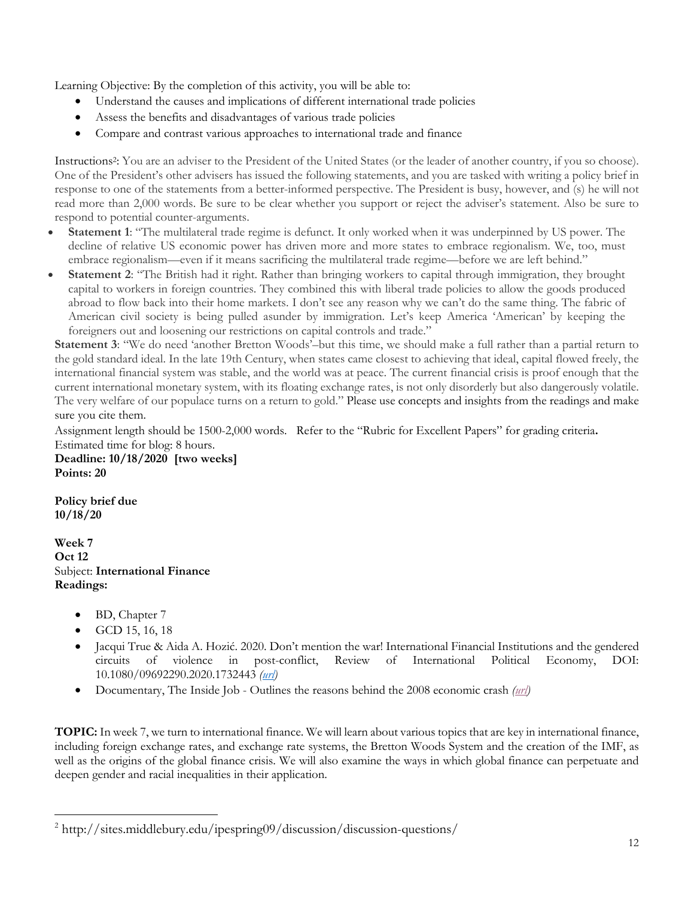Learning Objective: By the completion of this activity, you will be able to:

- Understand the causes and implications of different international trade policies
- Assess the benefits and disadvantages of various trade policies
- Compare and contrast various approaches to international trade and finance

Instructions2: You are an adviser to the President of the United States (or the leader of another country, if you so choose). One of the President's other advisers has issued the following statements, and you are tasked with writing a policy brief in response to one of the statements from a better-informed perspective. The President is busy, however, and (s) he will not read more than 2,000 words. Be sure to be clear whether you support or reject the adviser's statement. Also be sure to respond to potential counter-arguments.

- **Statement 1**: "The multilateral trade regime is defunct. It only worked when it was underpinned by US power. The decline of relative US economic power has driven more and more states to embrace regionalism. We, too, must embrace regionalism—even if it means sacrificing the multilateral trade regime—before we are left behind."
- **Statement 2**: "The British had it right. Rather than bringing workers to capital through immigration, they brought capital to workers in foreign countries. They combined this with liberal trade policies to allow the goods produced abroad to flow back into their home markets. I don't see any reason why we can't do the same thing. The fabric of American civil society is being pulled asunder by immigration. Let's keep America 'American' by keeping the foreigners out and loosening our restrictions on capital controls and trade."

**Statement 3**: "We do need 'another Bretton Woods'–but this time, we should make a full rather than a partial return to the gold standard ideal. In the late 19th Century, when states came closest to achieving that ideal, capital flowed freely, the international financial system was stable, and the world was at peace. The current financial crisis is proof enough that the current international monetary system, with its floating exchange rates, is not only disorderly but also dangerously volatile. The very welfare of our populace turns on a return to gold." Please use concepts and insights from the readings and make sure you cite them.

Assignment length should be 1500-2,000 words. Refer to the "Rubric for Excellent Papers" for grading criteria**.**  Estimated time for blog: 8 hours.

**Deadline: 10/18/2020 [two weeks] Points: 20**

**Policy brief due 10/18/20**

**Week 7 Oct 12** Subject: **International Finance Readings:** 

- BD, Chapter 7
- GCD 15, 16, 18
- Jacqui True & Aida A. Hozić. 2020. Don't mention the war! International Financial Institutions and the gendered circuits of violence in post-conflict, Review of International Political Economy, DOI: 10.1080/09692290.2020.1732443 *(url)*
- Documentary, The Inside Job Outlines the reasons behind the 2008 economic crash *(url)*

**TOPIC:** In week 7, we turn to international finance. We will learn about various topics that are key in international finance, including foreign exchange rates, and exchange rate systems, the Bretton Woods System and the creation of the IMF, as well as the origins of the global finance crisis. We will also examine the ways in which global finance can perpetuate and deepen gender and racial inequalities in their application.

<sup>&</sup>lt;sup>2</sup> http://sites.middlebury.edu/ipespring09/discussion/discussion-questions/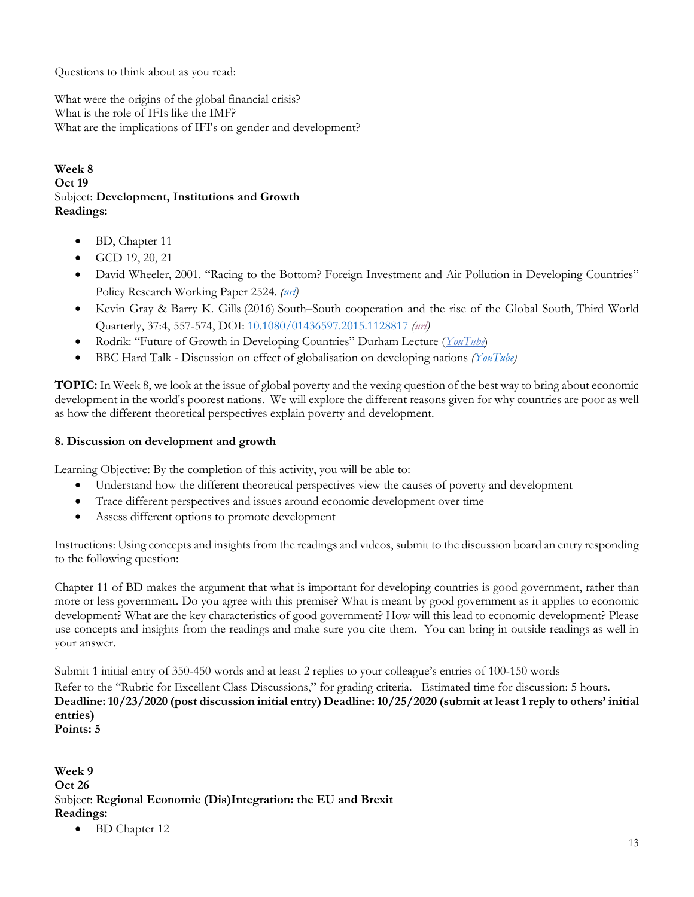Questions to think about as you read:

What were the origins of the global financial crisis? What is the role of IFIs like the IMF? What are the implications of IFI's on gender and development?

### **Week 8 Oct 19** Subject: **Development, Institutions and Growth Readings:**

- BD, Chapter 11
- GCD 19, 20, 21
- David Wheeler, 2001. "Racing to the Bottom? Foreign Investment and Air Pollution in Developing Countries" Policy Research Working Paper 2524. *(url)*
- Kevin Gray & Barry K. Gills (2016) South–South cooperation and the rise of the Global South, Third World Quarterly, 37:4, 557-574, DOI: 10.1080/01436597.2015.1128817 *(url)*
- Rodrik: "Future of Growth in Developing Countries" Durham Lecture (*YouTube*)
- BBC Hard Talk Discussion on effect of globalisation on developing nations *(YouTube)*

**TOPIC:** In Week 8, we look at the issue of global poverty and the vexing question of the best way to bring about economic development in the world's poorest nations. We will explore the different reasons given for why countries are poor as well as how the different theoretical perspectives explain poverty and development.

### **8. Discussion on development and growth**

Learning Objective: By the completion of this activity, you will be able to:

- Understand how the different theoretical perspectives view the causes of poverty and development
- Trace different perspectives and issues around economic development over time
- Assess different options to promote development

Instructions: Using concepts and insights from the readings and videos, submit to the discussion board an entry responding to the following question:

Chapter 11 of BD makes the argument that what is important for developing countries is good government, rather than more or less government. Do you agree with this premise? What is meant by good government as it applies to economic development? What are the key characteristics of good government? How will this lead to economic development? Please use concepts and insights from the readings and make sure you cite them. You can bring in outside readings as well in your answer.

Submit 1 initial entry of 350-450 words and at least 2 replies to your colleague's entries of 100-150 words

Refer to the "Rubric for Excellent Class Discussions," for grading criteria. Estimated time for discussion: 5 hours. **Deadline: 10/23/2020 (post discussion initial entry) Deadline: 10/25/2020 (submit at least 1 reply to others' initial entries)** 

**Points: 5**

**Week 9 Oct 26** Subject: **Regional Economic (Dis)Integration: the EU and Brexit Readings:** 

• BD Chapter 12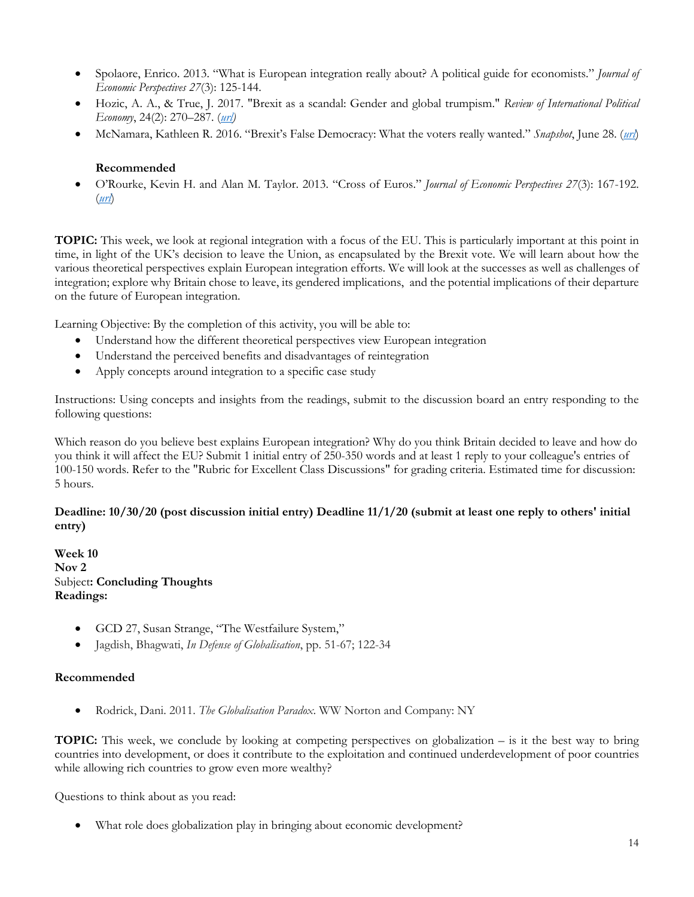- Spolaore, Enrico. 2013. "What is European integration really about? A political guide for economists." *Journal of Economic Perspectives 27*(3): 125-144.
- Hozic, A. A., & True, J. 2017. "Brexit as a scandal: Gender and global trumpism." *Review of International Political Economy*, 24(2): 270–287. (*url)*
- McNamara, Kathleen R. 2016. "Brexit's False Democracy: What the voters really wanted." *Snapshot*, June 28. (*url*)

### **Recommended**

• O'Rourke, Kevin H. and Alan M. Taylor. 2013. "Cross of Euros." *Journal of Economic Perspectives 27*(3): 167-192. (*url*)

**TOPIC:** This week, we look at regional integration with a focus of the EU. This is particularly important at this point in time, in light of the UK's decision to leave the Union, as encapsulated by the Brexit vote. We will learn about how the various theoretical perspectives explain European integration efforts. We will look at the successes as well as challenges of integration; explore why Britain chose to leave, its gendered implications, and the potential implications of their departure on the future of European integration.

Learning Objective: By the completion of this activity, you will be able to:

- Understand how the different theoretical perspectives view European integration
- Understand the perceived benefits and disadvantages of reintegration
- Apply concepts around integration to a specific case study

Instructions: Using concepts and insights from the readings, submit to the discussion board an entry responding to the following questions:

Which reason do you believe best explains European integration? Why do you think Britain decided to leave and how do you think it will affect the EU? Submit 1 initial entry of 250-350 words and at least 1 reply to your colleague's entries of 100-150 words. Refer to the "Rubric for Excellent Class Discussions" for grading criteria. Estimated time for discussion: 5 hours.

### Deadline:  $10/30/20$  (post discussion initial entry) Deadline  $11/1/20$  (submit at least one reply to others' initial **entry)**

**Week 10 Nov 2** Subject**: Concluding Thoughts Readings:** 

- GCD 27, Susan Strange, "The Westfailure System,"
- Jagdish, Bhagwati, *In Defense of Globalisation*, pp. 51-67; 122-34

### **Recommended**

• Rodrick, Dani. 2011. *The Globalisation Paradox*. WW Norton and Company: NY

**TOPIC:** This week, we conclude by looking at competing perspectives on globalization – is it the best way to bring countries into development, or does it contribute to the exploitation and continued underdevelopment of poor countries while allowing rich countries to grow even more wealthy?

Questions to think about as you read:

• What role does globalization play in bringing about economic development?